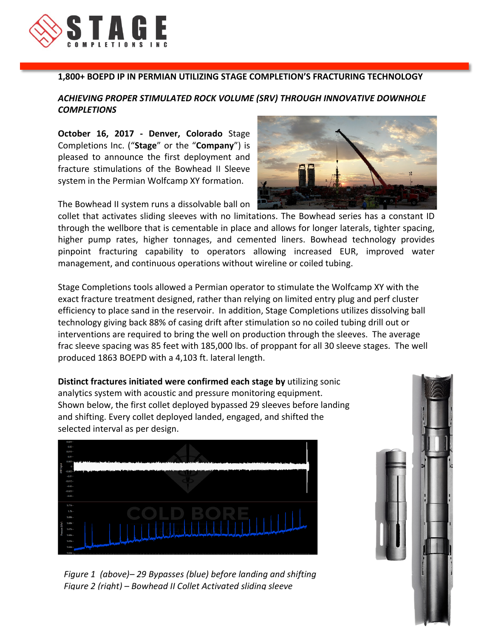

## **1,800+ BOEPD IP IN PERMIAN UTILIZING STAGE COMPLETION'S FRACTURING TECHNOLOGY**

## **ACHIEVING PROPER STIMULATED ROCK VOLUME (SRV) THROUGH INNOVATIVE DOWNHOLE** *COMPLETIONS*

**October 16, 2017 - Denver, Colorado** Stage Completions Inc. ("Stage" or the "Company") is pleased to announce the first deployment and fracture stimulations of the Bowhead II Sleeve system in the Permian Wolfcamp XY formation.

The Bowhead II system runs a dissolvable ball on

collet that activates sliding sleeves with no limitations. The Bowhead series has a constant ID through the wellbore that is cementable in place and allows for longer laterals, tighter spacing, higher pump rates, higher tonnages, and cemented liners. Bowhead technology provides pinpoint fracturing capability to operators allowing increased EUR, improved water management, and continuous operations without wireline or coiled tubing.

Stage Completions tools allowed a Permian operator to stimulate the Wolfcamp XY with the exact fracture treatment designed, rather than relying on limited entry plug and perf cluster efficiency to place sand in the reservoir. In addition, Stage Completions utilizes dissolving ball technology giving back 88% of casing drift after stimulation so no coiled tubing drill out or interventions are required to bring the well on production through the sleeves. The average frac sleeve spacing was 85 feet with 185,000 lbs. of proppant for all 30 sleeve stages. The well produced 1863 BOEPD with a 4,103 ft. lateral length.

**Distinct fractures initiated were confirmed each stage by utilizing sonic** analytics system with acoustic and pressure monitoring equipment. Shown below, the first collet deployed bypassed 29 sleeves before landing and shifting. Every collet deployed landed, engaged, and shifted the selected interval as per design.







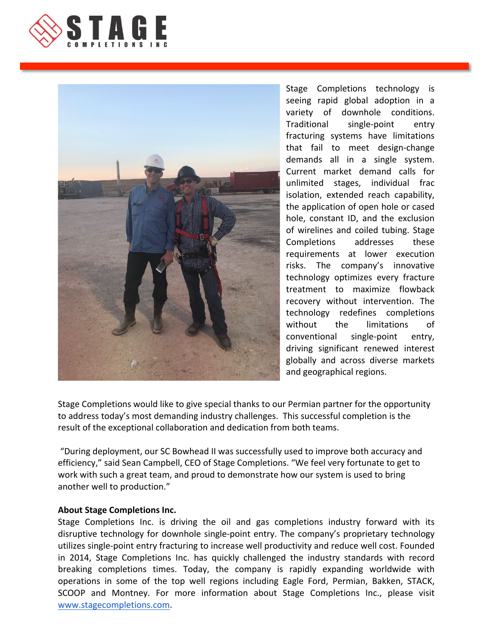



Stage Completions technology is seeing rapid global adoption in a variety of downhole conditions. Traditional single-point entry fracturing systems have limitations that fail to meet design-change demands all in a single system. Current market demand calls for unlimited stages, individual frac isolation, extended reach capability, the application of open hole or cased hole, constant ID, and the exclusion of wirelines and coiled tubing. Stage Completions addresses these requirements at lower execution risks. The company's innovative technology optimizes every fracture treatment to maximize flowback recovery without intervention. The technology redefines completions without the limitations of conventional single-point entry, driving significant renewed interest globally and across diverse markets and geographical regions.

Stage Completions would like to give special thanks to our Permian partner for the opportunity to address today's most demanding industry challenges. This successful completion is the result of the exceptional collaboration and dedication from both teams.

"During deployment, our SC Bowhead II was successfully used to improve both accuracy and efficiency," said Sean Campbell, CEO of Stage Completions. "We feel very fortunate to get to work with such a great team, and proud to demonstrate how our system is used to bring another well to production."

## **About Stage Completions Inc.**

Stage Completions Inc. is driving the oil and gas completions industry forward with its disruptive technology for downhole single-point entry. The company's proprietary technology utilizes single-point entry fracturing to increase well productivity and reduce well cost. Founded in 2014, Stage Completions Inc. has quickly challenged the industry standards with record breaking completions times. Today, the company is rapidly expanding worldwide with operations in some of the top well regions including Eagle Ford, Permian, Bakken, STACK, SCOOP and Montney. For more information about Stage Completions Inc., please visit www.stagecompletions.com.